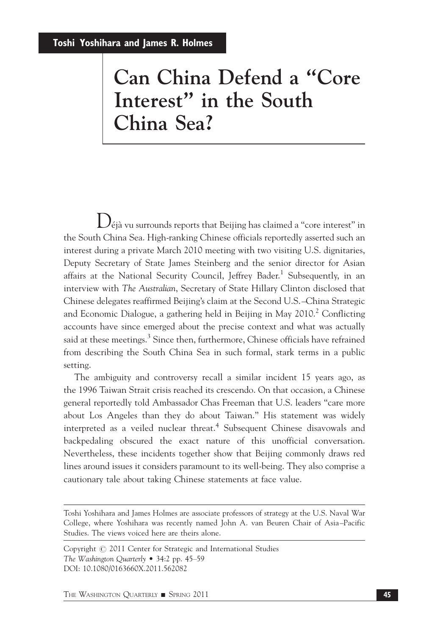# Can China Defend a ''Core Interest'' in the South China Sea?

 $\bigcup_{\hat{\varepsilon}$ jà vu surrounds reports that Beijing has claimed a "core interest" in the South China Sea. High-ranking Chinese officials reportedly asserted such an interest during a private March 2010 meeting with two visiting U.S. dignitaries, Deputy Secretary of State James Steinberg and the senior director for Asian affairs at the National Security Council, Jeffrey Bader.<sup>1</sup> Subsequently, in an interview with The Australian, Secretary of State Hillary Clinton disclosed that Chinese delegates reaffirmed Beijing's claim at the Second U.S.—China Strategic and Economic Dialogue, a gathering held in Beijing in May  $2010<sup>2</sup>$  Conflicting accounts have since emerged about the precise context and what was actually said at these meetings.<sup>3</sup> Since then, furthermore, Chinese officials have refrained from describing the South China Sea in such formal, stark terms in a public setting.

The ambiguity and controversy recall a similar incident 15 years ago, as the 1996 Taiwan Strait crisis reached its crescendo. On that occasion, a Chinese general reportedly told Ambassador Chas Freeman that U.S. leaders ''care more about Los Angeles than they do about Taiwan.'' His statement was widely interpreted as a veiled nuclear threat.<sup>4</sup> Subsequent Chinese disavowals and backpedaling obscured the exact nature of this unofficial conversation. Nevertheless, these incidents together show that Beijing commonly draws red lines around issues it considers paramount to its well-being. They also comprise a cautionary tale about taking Chinese statements at face value.

Copyright © 2011 Center for Strategic and International Studies The Washington Quarterly • 34:2 pp. 45-59 DOI: 10.1080/0163660X.2011.562082

Toshi Yoshihara and James Holmes are associate professors of strategy at the U.S. Naval War College, where Yoshihara was recently named John A. van Beuren Chair of Asia—Pacific Studies. The views voiced here are theirs alone.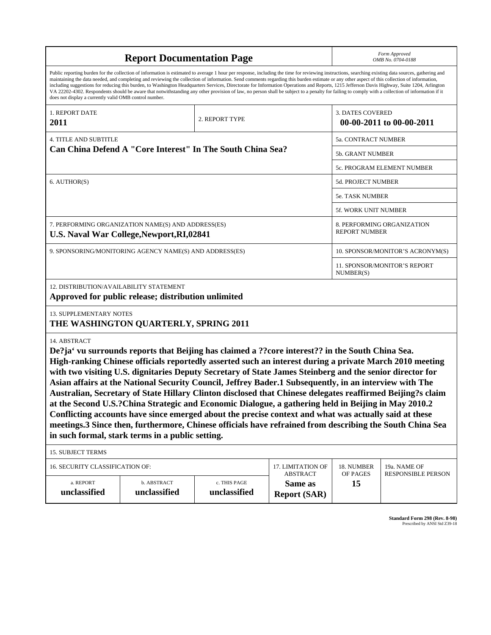| <b>Report Documentation Page</b>                                                                                                                                                                                                                                                                                                                                                                                                                                                                                                                                                                                                                                                                                                                                                                                                                                                                                                                 |                                      |                              |                                           | Form Approved<br>OMB No. 0704-0188                  |  |  |
|--------------------------------------------------------------------------------------------------------------------------------------------------------------------------------------------------------------------------------------------------------------------------------------------------------------------------------------------------------------------------------------------------------------------------------------------------------------------------------------------------------------------------------------------------------------------------------------------------------------------------------------------------------------------------------------------------------------------------------------------------------------------------------------------------------------------------------------------------------------------------------------------------------------------------------------------------|--------------------------------------|------------------------------|-------------------------------------------|-----------------------------------------------------|--|--|
| Public reporting burden for the collection of information is estimated to average 1 hour per response, including the time for reviewing instructions, searching existing data sources, gathering and<br>maintaining the data needed, and completing and reviewing the collection of information. Send comments regarding this burden estimate or any other aspect of this collection of information,<br>including suggestions for reducing this burden, to Washington Headquarters Services, Directorate for Information Operations and Reports, 1215 Jefferson Davis Highway, Suite 1204, Arlington<br>VA 22202-4302. Respondents should be aware that notwithstanding any other provision of law, no person shall be subject to a penalty for failing to comply with a collection of information if it<br>does not display a currently valid OMB control number.                                                                               |                                      |                              |                                           |                                                     |  |  |
| 1. REPORT DATE<br>2011                                                                                                                                                                                                                                                                                                                                                                                                                                                                                                                                                                                                                                                                                                                                                                                                                                                                                                                           |                                      | 2. REPORT TYPE               |                                           | <b>3. DATES COVERED</b><br>00-00-2011 to 00-00-2011 |  |  |
| <b>4. TITLE AND SUBTITLE</b>                                                                                                                                                                                                                                                                                                                                                                                                                                                                                                                                                                                                                                                                                                                                                                                                                                                                                                                     |                                      | 5a. CONTRACT NUMBER          |                                           |                                                     |  |  |
| Can China Defend A "Core Interest" In The South China Sea?                                                                                                                                                                                                                                                                                                                                                                                                                                                                                                                                                                                                                                                                                                                                                                                                                                                                                       |                                      | 5b. GRANT NUMBER             |                                           |                                                     |  |  |
|                                                                                                                                                                                                                                                                                                                                                                                                                                                                                                                                                                                                                                                                                                                                                                                                                                                                                                                                                  |                                      |                              |                                           | 5c. PROGRAM ELEMENT NUMBER                          |  |  |
| 6. AUTHOR(S)                                                                                                                                                                                                                                                                                                                                                                                                                                                                                                                                                                                                                                                                                                                                                                                                                                                                                                                                     |                                      |                              |                                           | 5d. PROJECT NUMBER                                  |  |  |
|                                                                                                                                                                                                                                                                                                                                                                                                                                                                                                                                                                                                                                                                                                                                                                                                                                                                                                                                                  |                                      |                              |                                           | 5e. TASK NUMBER                                     |  |  |
|                                                                                                                                                                                                                                                                                                                                                                                                                                                                                                                                                                                                                                                                                                                                                                                                                                                                                                                                                  |                                      |                              |                                           | 5f. WORK UNIT NUMBER                                |  |  |
| 7. PERFORMING ORGANIZATION NAME(S) AND ADDRESS(ES)<br>U.S. Naval War College, Newport, RI, 02841                                                                                                                                                                                                                                                                                                                                                                                                                                                                                                                                                                                                                                                                                                                                                                                                                                                 |                                      |                              |                                           | 8. PERFORMING ORGANIZATION<br><b>REPORT NUMBER</b>  |  |  |
| 9. SPONSORING/MONITORING AGENCY NAME(S) AND ADDRESS(ES)                                                                                                                                                                                                                                                                                                                                                                                                                                                                                                                                                                                                                                                                                                                                                                                                                                                                                          |                                      |                              |                                           | 10. SPONSOR/MONITOR'S ACRONYM(S)                    |  |  |
|                                                                                                                                                                                                                                                                                                                                                                                                                                                                                                                                                                                                                                                                                                                                                                                                                                                                                                                                                  |                                      |                              |                                           | <b>11. SPONSOR/MONITOR'S REPORT</b><br>NUMBER(S)    |  |  |
| 12. DISTRIBUTION/AVAILABILITY STATEMENT<br>Approved for public release; distribution unlimited                                                                                                                                                                                                                                                                                                                                                                                                                                                                                                                                                                                                                                                                                                                                                                                                                                                   |                                      |                              |                                           |                                                     |  |  |
| <b>13. SUPPLEMENTARY NOTES</b><br>THE WASHINGTON QUARTERLY, SPRING 2011                                                                                                                                                                                                                                                                                                                                                                                                                                                                                                                                                                                                                                                                                                                                                                                                                                                                          |                                      |                              |                                           |                                                     |  |  |
| 14. ABSTRACT<br>De?ja' vu surrounds reports that Beijing has claimed a ??core interest?? in the South China Sea.<br>High-ranking Chinese officials reportedly asserted such an interest during a private March 2010 meeting<br>with two visiting U.S. dignitaries Deputy Secretary of State James Steinberg and the senior director for<br>Asian affairs at the National Security Council, Jeffrey Bader.1 Subsequently, in an interview with The<br>Australian, Secretary of State Hillary Clinton disclosed that Chinese delegates reaffirmed Beijing?s claim<br>at the Second U.S.? China Strategic and Economic Dialogue, a gathering held in Beijing in May 2010.2<br>Conflicting accounts have since emerged about the precise context and what was actually said at these<br>meetings.3 Since then, furthermore, Chinese officials have refrained from describing the South China Sea<br>in such formal, stark terms in a public setting. |                                      |                              |                                           |                                                     |  |  |
| <b>15. SUBJECT TERMS</b>                                                                                                                                                                                                                                                                                                                                                                                                                                                                                                                                                                                                                                                                                                                                                                                                                                                                                                                         |                                      |                              |                                           |                                                     |  |  |
| 16. SECURITY CLASSIFICATION OF:                                                                                                                                                                                                                                                                                                                                                                                                                                                                                                                                                                                                                                                                                                                                                                                                                                                                                                                  | 17. LIMITATION OF<br><b>ABSTRACT</b> | 18. NUMBER<br>OF PAGES       | 19a. NAME OF<br><b>RESPONSIBLE PERSON</b> |                                                     |  |  |
| a. REPORT<br>unclassified                                                                                                                                                                                                                                                                                                                                                                                                                                                                                                                                                                                                                                                                                                                                                                                                                                                                                                                        | b. ABSTRACT<br>unclassified          | c. THIS PAGE<br>unclassified | Same as<br><b>Report (SAR)</b>            | 15                                                  |  |  |

**Standard Form 298 (Rev. 8-98)**<br>Prescribed by ANSI Std Z39-18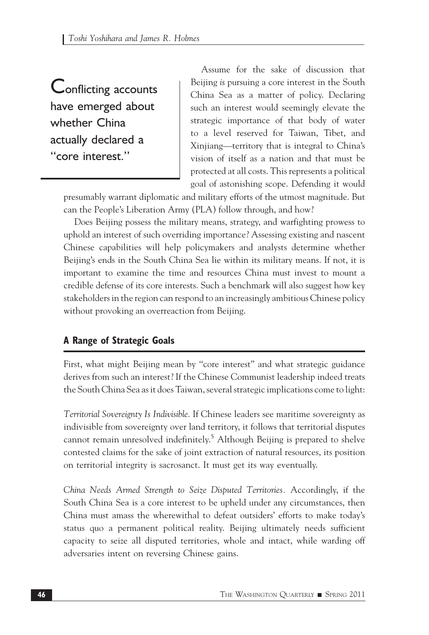Conflicting accounts have emerged about whether China actually declared a ''core interest.''

Assume for the sake of discussion that Beijing is pursuing a core interest in the South China Sea as a matter of policy. Declaring such an interest would seemingly elevate the strategic importance of that body of water to a level reserved for Taiwan, Tibet, and Xinjiang—territory that is integral to China's vision of itself as a nation and that must be protected at all costs. This represents a political goal of astonishing scope. Defending it would

presumably warrant diplomatic and military efforts of the utmost magnitude. But can the People's Liberation Army (PLA) follow through, and how?

Does Beijing possess the military means, strategy, and warfighting prowess to uphold an interest of such overriding importance? Assessing existing and nascent Chinese capabilities will help policymakers and analysts determine whether Beijing's ends in the South China Sea lie within its military means. If not, it is important to examine the time and resources China must invest to mount a credible defense of its core interests. Such a benchmark will also suggest how key stakeholders in the region can respond to an increasingly ambitious Chinese policy without provoking an overreaction from Beijing.

## A Range of Strategic Goals

First, what might Beijing mean by ''core interest'' and what strategic guidance derives from such an interest? If the Chinese Communist leadership indeed treats the South China Sea as it does Taiwan, several strategic implications come to light:

Territorial Sovereignty Is Indivisible. If Chinese leaders see maritime sovereignty as indivisible from sovereignty over land territory, it follows that territorial disputes cannot remain unresolved indefinitely.<sup>5</sup> Although Beijing is prepared to shelve contested claims for the sake of joint extraction of natural resources, its position on territorial integrity is sacrosanct. It must get its way eventually.

China Needs Armed Strength to Seize Disputed Territories. Accordingly, if the South China Sea is a core interest to be upheld under any circumstances, then China must amass the wherewithal to defeat outsiders' efforts to make today's status quo a permanent political reality. Beijing ultimately needs sufficient capacity to seize all disputed territories, whole and intact, while warding off adversaries intent on reversing Chinese gains.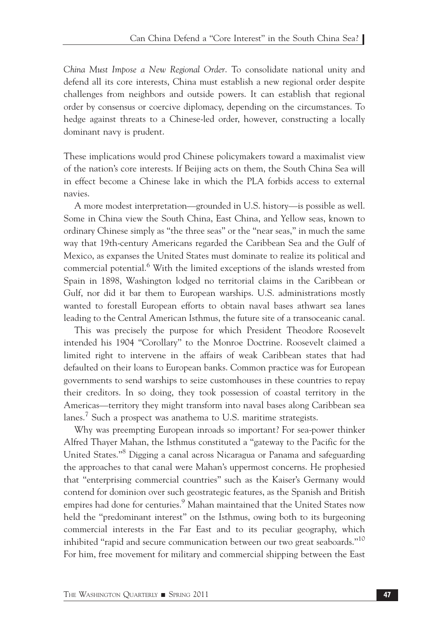China Must Impose a New Regional Order. To consolidate national unity and defend all its core interests, China must establish a new regional order despite challenges from neighbors and outside powers. It can establish that regional order by consensus or coercive diplomacy, depending on the circumstances. To hedge against threats to a Chinese-led order, however, constructing a locally dominant navy is prudent.

These implications would prod Chinese policymakers toward a maximalist view of the nation's core interests. If Beijing acts on them, the South China Sea will in effect become a Chinese lake in which the PLA forbids access to external navies.

A more modest interpretation—grounded in U.S. history—is possible as well. Some in China view the South China, East China, and Yellow seas, known to ordinary Chinese simply as ''the three seas'' or the ''near seas,'' in much the same way that 19th-century Americans regarded the Caribbean Sea and the Gulf of Mexico, as expanses the United States must dominate to realize its political and commercial potential.<sup>6</sup> With the limited exceptions of the islands wrested from Spain in 1898, Washington lodged no territorial claims in the Caribbean or Gulf, nor did it bar them to European warships. U.S. administrations mostly wanted to forestall European efforts to obtain naval bases athwart sea lanes leading to the Central American Isthmus, the future site of a transoceanic canal.

This was precisely the purpose for which President Theodore Roosevelt intended his 1904 ''Corollary'' to the Monroe Doctrine. Roosevelt claimed a limited right to intervene in the affairs of weak Caribbean states that had defaulted on their loans to European banks. Common practice was for European governments to send warships to seize customhouses in these countries to repay their creditors. In so doing, they took possession of coastal territory in the Americas—territory they might transform into naval bases along Caribbean sea lanes.<sup>7</sup> Such a prospect was anathema to U.S. maritime strategists.

Why was preempting European inroads so important? For sea-power thinker Alfred Thayer Mahan, the Isthmus constituted a ''gateway to the Pacific for the United States.''8 Digging a canal across Nicaragua or Panama and safeguarding the approaches to that canal were Mahan's uppermost concerns. He prophesied that ''enterprising commercial countries'' such as the Kaiser's Germany would contend for dominion over such geostrategic features, as the Spanish and British empires had done for centuries.<sup>9</sup> Mahan maintained that the United States now held the ''predominant interest'' on the Isthmus, owing both to its burgeoning commercial interests in the Far East and to its peculiar geography, which inhibited "rapid and secure communication between our two great seaboards."<sup>10</sup> For him, free movement for military and commercial shipping between the East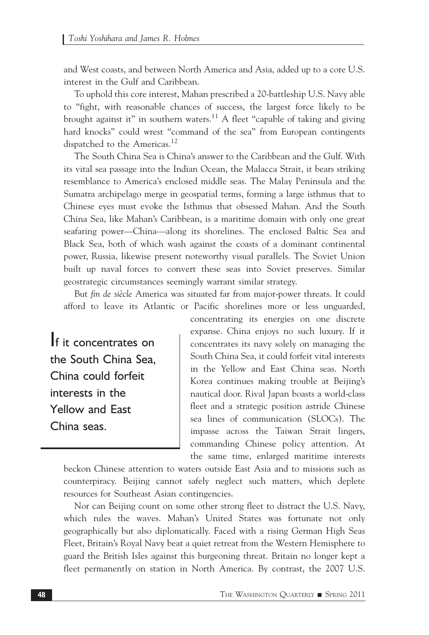and West coasts, and between North America and Asia, added up to a core U.S. interest in the Gulf and Caribbean.

To uphold this core interest, Mahan prescribed a 20-battleship U.S. Navy able to ''fight, with reasonable chances of success, the largest force likely to be brought against it" in southern waters.<sup>11</sup> A fleet "capable of taking and giving hard knocks" could wrest "command of the sea" from European contingents dispatched to the Americas.<sup>12</sup>

The South China Sea is China's answer to the Caribbean and the Gulf. With its vital sea passage into the Indian Ocean, the Malacca Strait, it bears striking resemblance to America's enclosed middle seas. The Malay Peninsula and the Sumatra archipelago merge in geospatial terms, forming a large isthmus that to Chinese eyes must evoke the Isthmus that obsessed Mahan. And the South China Sea, like Mahan's Caribbean, is a maritime domain with only one great seafaring power—China—along its shorelines. The enclosed Baltic Sea and Black Sea, both of which wash against the coasts of a dominant continental power, Russia, likewise present noteworthy visual parallels. The Soviet Union built up naval forces to convert these seas into Soviet preserves. Similar geostrategic circumstances seemingly warrant similar strategy.

But fin de siècle America was situated far from major-power threats. It could afford to leave its Atlantic or Pacific shorelines more or less unguarded,

If it concentrates on the South China Sea, China could forfeit interests in the Yellow and East China seas.

concentrating its energies on one discrete expanse. China enjoys no such luxury. If it concentrates its navy solely on managing the South China Sea, it could forfeit vital interests in the Yellow and East China seas. North Korea continues making trouble at Beijing's nautical door. Rival Japan boasts a world-class fleet and a strategic position astride Chinese sea lines of communication (SLOCs). The impasse across the Taiwan Strait lingers, commanding Chinese policy attention. At the same time, enlarged maritime interests

beckon Chinese attention to waters outside East Asia and to missions such as counterpiracy. Beijing cannot safely neglect such matters, which deplete resources for Southeast Asian contingencies.

Nor can Beijing count on some other strong fleet to distract the U.S. Navy, which rules the waves. Mahan's United States was fortunate not only geographically but also diplomatically. Faced with a rising German High Seas Fleet, Britain's Royal Navy beat a quiet retreat from the Western Hemisphere to guard the British Isles against this burgeoning threat. Britain no longer kept a fleet permanently on station in North America. By contrast, the 2007 U.S.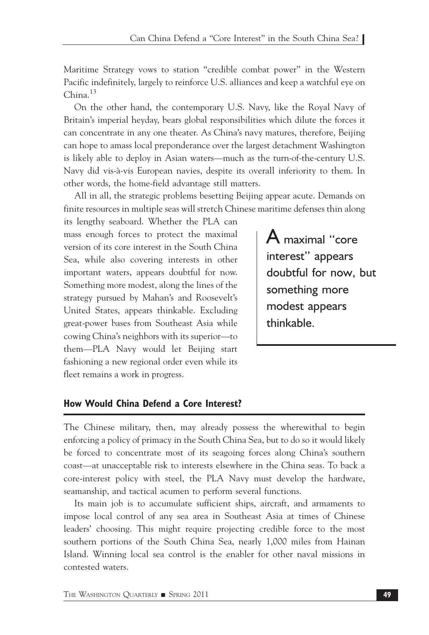Maritime Strategy vows to station ''credible combat power'' in the Western Pacific indefinitely, largely to reinforce U.S. alliances and keep a watchful eye on China.<sup>13</sup>

On the other hand, the contemporary U.S. Navy, like the Royal Navy of Britain's imperial heyday, bears global responsibilities which dilute the forces it can concentrate in any one theater. As China's navy matures, therefore, Beijing can hope to amass local preponderance over the largest detachment Washington is likely able to deploy in Asian waters—much as the turn-of-the-century U.S. Navy did vis-a`-vis European navies, despite its overall inferiority to them. In other words, the home-field advantage still matters.

All in all, the strategic problems besetting Beijing appear acute. Demands on finite resources in multiple seas will stretch Chinese maritime defenses thin along

its lengthy seaboard. Whether the PLA can mass enough forces to protect the maximal version of its core interest in the South China Sea, while also covering interests in other important waters, appears doubtful for now. Something more modest, along the lines of the strategy pursued by Mahan's and Roosevelt's United States, appears thinkable. Excluding great-power bases from Southeast Asia while cowing China's neighbors with its superior-to them—PLA Navy would let Beijing start fashioning a new regional order even while its fleet remains a work in progress.

A maximal ''core interest'' appears doubtful for now, but something more modest appears thinkable.

## How Would China Defend a Core Interest?

The Chinese military, then, may already possess the wherewithal to begin enforcing a policy of primacy in the South China Sea, but to do so it would likely be forced to concentrate most of its seagoing forces along China's southern coast—at unacceptable risk to interests elsewhere in the China seas. To back a core-interest policy with steel, the PLA Navy must develop the hardware, seamanship, and tactical acumen to perform several functions.

Its main job is to accumulate sufficient ships, aircraft, and armaments to impose local control of any sea area in Southeast Asia at times of Chinese leaders' choosing. This might require projecting credible force to the most southern portions of the South China Sea, nearly 1,000 miles from Hainan Island. Winning local sea control is the enabler for other naval missions in contested waters.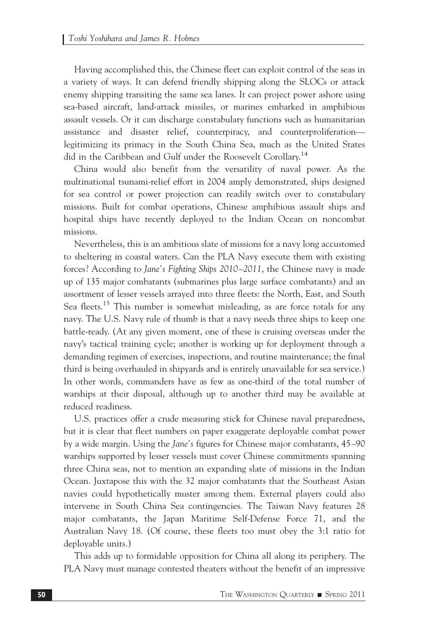Having accomplished this, the Chinese fleet can exploit control of the seas in a variety of ways. It can defend friendly shipping along the SLOCs or attack enemy shipping transiting the same sea lanes. It can project power ashore using sea-based aircraft, land-attack missiles, or marines embarked in amphibious assault vessels. Or it can discharge constabulary functions such as humanitarian assistance and disaster relief, counterpiracy, and counterproliferation legitimizing its primacy in the South China Sea, much as the United States did in the Caribbean and Gulf under the Roosevelt Corollary.<sup>14</sup>

China would also benefit from the versatility of naval power. As the multinational tsunami-relief effort in 2004 amply demonstrated, ships designed for sea control or power projection can readily switch over to constabulary missions. Built for combat operations, Chinese amphibious assault ships and hospital ships have recently deployed to the Indian Ocean on noncombat missions.

Nevertheless, this is an ambitious slate of missions for a navy long accustomed to sheltering in coastal waters. Can the PLA Navy execute them with existing forces? According to Jane's Fighting Ships 2010—2011, the Chinese navy is made up of 135 major combatants (submarines plus large surface combatants) and an assortment of lesser vessels arrayed into three fleets: the North, East, and South Sea fleets.<sup>15</sup> This number is somewhat misleading, as are force totals for any navy. The U.S. Navy rule of thumb is that a navy needs three ships to keep one battle-ready. (At any given moment, one of these is cruising overseas under the navy's tactical training cycle; another is working up for deployment through a demanding regimen of exercises, inspections, and routine maintenance; the final third is being overhauled in shipyards and is entirely unavailable for sea service.) In other words, commanders have as few as one-third of the total number of warships at their disposal, although up to another third may be available at reduced readiness.

U.S. practices offer a crude measuring stick for Chinese naval preparedness, but it is clear that fleet numbers on paper exaggerate deployable combat power by a wide margin. Using the Jane's figures for Chinese major combatants, 45—90 warships supported by lesser vessels must cover Chinese commitments spanning three China seas, not to mention an expanding slate of missions in the Indian Ocean. Juxtapose this with the 32 major combatants that the Southeast Asian navies could hypothetically muster among them. External players could also intervene in South China Sea contingencies. The Taiwan Navy features 28 major combatants, the Japan Maritime Self-Defense Force 71, and the Australian Navy 18. (Of course, these fleets too must obey the 3:1 ratio for deployable units.)

This adds up to formidable opposition for China all along its periphery. The PLA Navy must manage contested theaters without the benefit of an impressive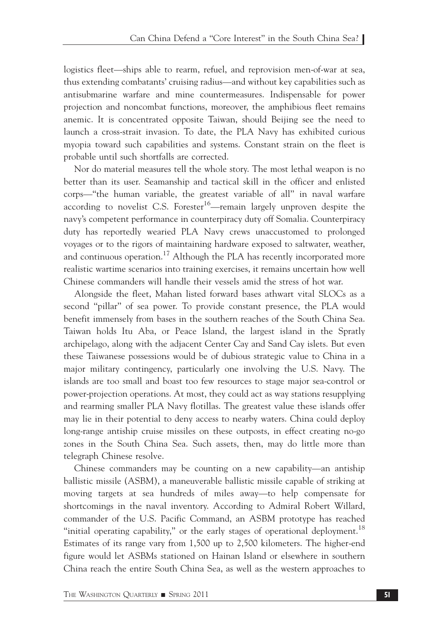logistics fleet—ships able to rearm, refuel, and reprovision men-of-war at sea, thus extending combatants' cruising radius—and without key capabilities such as antisubmarine warfare and mine countermeasures. Indispensable for power projection and noncombat functions, moreover, the amphibious fleet remains anemic. It is concentrated opposite Taiwan, should Beijing see the need to launch a cross-strait invasion. To date, the PLA Navy has exhibited curious myopia toward such capabilities and systems. Constant strain on the fleet is probable until such shortfalls are corrected.

Nor do material measures tell the whole story. The most lethal weapon is no better than its user. Seamanship and tactical skill in the officer and enlisted corps—"the human variable, the greatest variable of all" in naval warfare according to novelist C.S. Forester<sup>16</sup>—remain largely unproven despite the navy's competent performance in counterpiracy duty off Somalia. Counterpiracy duty has reportedly wearied PLA Navy crews unaccustomed to prolonged voyages or to the rigors of maintaining hardware exposed to saltwater, weather, and continuous operation.<sup>17</sup> Although the PLA has recently incorporated more realistic wartime scenarios into training exercises, it remains uncertain how well Chinese commanders will handle their vessels amid the stress of hot war.

Alongside the fleet, Mahan listed forward bases athwart vital SLOCs as a second ''pillar'' of sea power. To provide constant presence, the PLA would benefit immensely from bases in the southern reaches of the South China Sea. Taiwan holds Itu Aba, or Peace Island, the largest island in the Spratly archipelago, along with the adjacent Center Cay and Sand Cay islets. But even these Taiwanese possessions would be of dubious strategic value to China in a major military contingency, particularly one involving the U.S. Navy. The islands are too small and boast too few resources to stage major sea-control or power-projection operations. At most, they could act as way stations resupplying and rearming smaller PLA Navy flotillas. The greatest value these islands offer may lie in their potential to deny access to nearby waters. China could deploy long-range antiship cruise missiles on these outposts, in effect creating no-go zones in the South China Sea. Such assets, then, may do little more than telegraph Chinese resolve.

Chinese commanders may be counting on a new capability—an antiship ballistic missile (ASBM), a maneuverable ballistic missile capable of striking at moving targets at sea hundreds of miles away—to help compensate for shortcomings in the naval inventory. According to Admiral Robert Willard, commander of the U.S. Pacific Command, an ASBM prototype has reached "initial operating capability," or the early stages of operational deployment.<sup>18</sup> Estimates of its range vary from 1,500 up to 2,500 kilometers. The higher-end figure would let ASBMs stationed on Hainan Island or elsewhere in southern China reach the entire South China Sea, as well as the western approaches to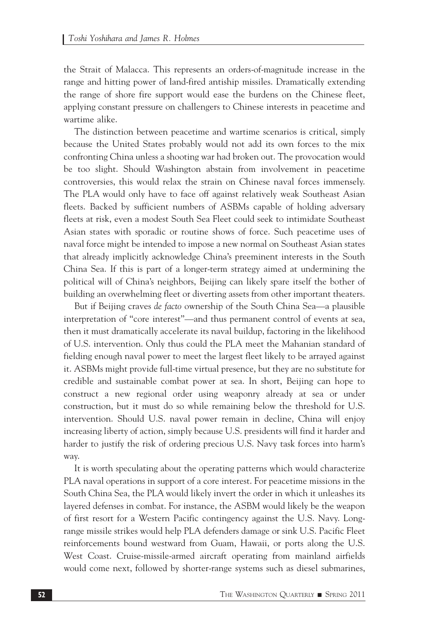the Strait of Malacca. This represents an orders-of-magnitude increase in the range and hitting power of land-fired antiship missiles. Dramatically extending the range of shore fire support would ease the burdens on the Chinese fleet, applying constant pressure on challengers to Chinese interests in peacetime and wartime alike.

The distinction between peacetime and wartime scenarios is critical, simply because the United States probably would not add its own forces to the mix confronting China unless a shooting war had broken out. The provocation would be too slight. Should Washington abstain from involvement in peacetime controversies, this would relax the strain on Chinese naval forces immensely. The PLA would only have to face off against relatively weak Southeast Asian fleets. Backed by sufficient numbers of ASBMs capable of holding adversary fleets at risk, even a modest South Sea Fleet could seek to intimidate Southeast Asian states with sporadic or routine shows of force. Such peacetime uses of naval force might be intended to impose a new normal on Southeast Asian states that already implicitly acknowledge China's preeminent interests in the South China Sea. If this is part of a longer-term strategy aimed at undermining the political will of China's neighbors, Beijing can likely spare itself the bother of building an overwhelming fleet or diverting assets from other important theaters.

But if Beijing craves de facto ownership of the South China Sea—a plausible interpretation of "core interest"—and thus permanent control of events at sea, then it must dramatically accelerate its naval buildup, factoring in the likelihood of U.S. intervention. Only thus could the PLA meet the Mahanian standard of fielding enough naval power to meet the largest fleet likely to be arrayed against it. ASBMs might provide full-time virtual presence, but they are no substitute for credible and sustainable combat power at sea. In short, Beijing can hope to construct a new regional order using weaponry already at sea or under construction, but it must do so while remaining below the threshold for U.S. intervention. Should U.S. naval power remain in decline, China will enjoy increasing liberty of action, simply because U.S. presidents will find it harder and harder to justify the risk of ordering precious U.S. Navy task forces into harm's way.

It is worth speculating about the operating patterns which would characterize PLA naval operations in support of a core interest. For peacetime missions in the South China Sea, the PLA would likely invert the order in which it unleashes its layered defenses in combat. For instance, the ASBM would likely be the weapon of first resort for a Western Pacific contingency against the U.S. Navy. Longrange missile strikes would help PLA defenders damage or sink U.S. Pacific Fleet reinforcements bound westward from Guam, Hawaii, or ports along the U.S. West Coast. Cruise-missile-armed aircraft operating from mainland airfields would come next, followed by shorter-range systems such as diesel submarines,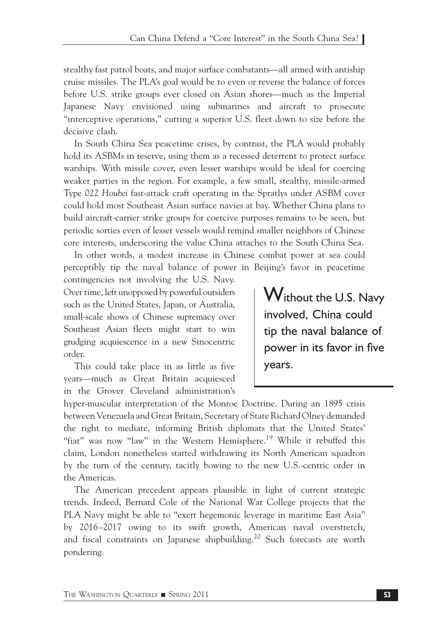stealthy fast patrol boats, and major surface combatants—all armed with antiship cruise missiles. The PLA's goal would be to even or reverse the balance of forces before U.S. strike groups ever closed on Asian shores—much as the Imperial Japanese Navy envisioned using submarines and aircraft to prosecute ''interceptive operations,'' cutting a superior U.S. fleet down to size before the decisive clash.

In South China Sea peacetime crises, by contrast, the PLA would probably hold its ASBMs in reserve, using them as a recessed deterrent to protect surface warships. With missile cover, even lesser warships would be ideal for coercing weaker parties in the region. For example, a few small, stealthy, missile-armed Type 022 Houbei fast-attack craft operating in the Spratlys under ASBM cover could hold most Southeast Asian surface navies at bay. Whether China plans to build aircraft-carrier strike groups for coercive purposes remains to be seen, but periodic sorties even of lesser vessels would remind smaller neighbors of Chinese core interests, underscoring the value China attaches to the South China Sea.

In other words, a modest increase in Chinese combat power at sea could perceptibly tip the naval balance of power in Beijing's favor in peacetime

contingencies not involving the U.S. Navy. Over time, left unopposed by powerful outsiders such as the United States, Japan, or Australia, small-scale shows of Chinese supremacy over Southeast Asian fleets might start to win grudging acquiescence in a new Sinocentric order.

This could take place in as little as five years—much as Great Britain acquiesced in the Grover Cleveland administration's Without the U.S. Navy involved, China could tip the naval balance of power in its favor in five years.

hyper-muscular interpretation of the Monroe Doctrine. During an 1895 crisis between Venezuela and Great Britain, Secretary of State Richard Olney demanded the right to mediate, informing British diplomats that the United States' "fiat" was now "law" in the Western Hemisphere.<sup>19</sup> While it rebuffed this claim, London nonetheless started withdrawing its North American squadron by the turn of the century, tacitly bowing to the new U.S.-centric order in the Americas.

The American precedent appears plausible in light of current strategic trends. Indeed, Bernard Cole of the National War College projects that the PLA Navy might be able to ''exert hegemonic leverage in maritime East Asia'' by 2016—2017 owing to its swift growth, American naval overstretch, and fiscal constraints on Japanese shipbuilding.<sup>20</sup> Such forecasts are worth pondering.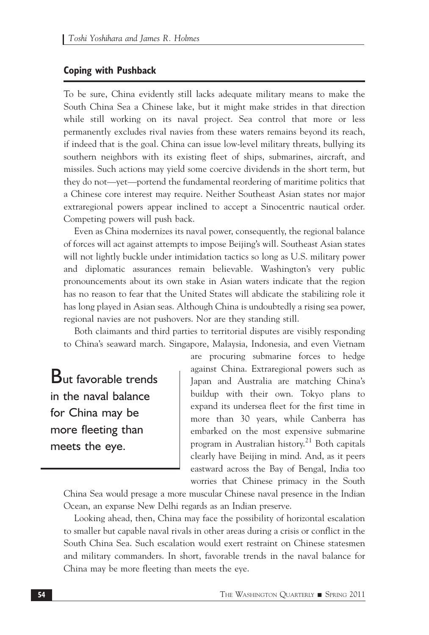#### Coping with Pushback

To be sure, China evidently still lacks adequate military means to make the South China Sea a Chinese lake, but it might make strides in that direction while still working on its naval project. Sea control that more or less permanently excludes rival navies from these waters remains beyond its reach, if indeed that is the goal. China can issue low-level military threats, bullying its southern neighbors with its existing fleet of ships, submarines, aircraft, and missiles. Such actions may yield some coercive dividends in the short term, but they do not—yet—portend the fundamental reordering of maritime politics that a Chinese core interest may require. Neither Southeast Asian states nor major extraregional powers appear inclined to accept a Sinocentric nautical order. Competing powers will push back.

Even as China modernizes its naval power, consequently, the regional balance of forces will act against attempts to impose Beijing's will. Southeast Asian states will not lightly buckle under intimidation tactics so long as U.S. military power and diplomatic assurances remain believable. Washington's very public pronouncements about its own stake in Asian waters indicate that the region has no reason to fear that the United States will abdicate the stabilizing role it has long played in Asian seas. Although China is undoubtedly a rising sea power, regional navies are not pushovers. Nor are they standing still.

Both claimants and third parties to territorial disputes are visibly responding to China's seaward march. Singapore, Malaysia, Indonesia, and even Vietnam

**But favorable trends** in the naval balance for China may be more fleeting than meets the eye.

are procuring submarine forces to hedge against China. Extraregional powers such as Japan and Australia are matching China's buildup with their own. Tokyo plans to expand its undersea fleet for the first time in more than 30 years, while Canberra has embarked on the most expensive submarine program in Australian history.<sup>21</sup> Both capitals clearly have Beijing in mind. And, as it peers eastward across the Bay of Bengal, India too worries that Chinese primacy in the South

China Sea would presage a more muscular Chinese naval presence in the Indian Ocean, an expanse New Delhi regards as an Indian preserve.

Looking ahead, then, China may face the possibility of horizontal escalation to smaller but capable naval rivals in other areas during a crisis or conflict in the South China Sea. Such escalation would exert restraint on Chinese statesmen and military commanders. In short, favorable trends in the naval balance for China may be more fleeting than meets the eye.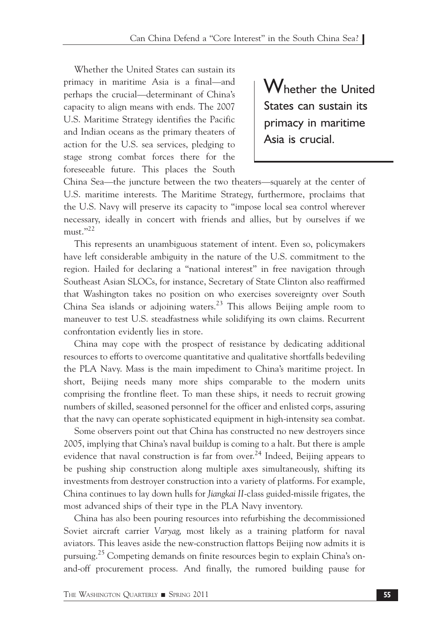Whether the United States can sustain its primacy in maritime Asia is a final—and perhaps the crucial—determinant of China's capacity to align means with ends. The 2007 U.S. Maritime Strategy identifies the Pacific and Indian oceans as the primary theaters of action for the U.S. sea services, pledging to stage strong combat forces there for the foreseeable future. This places the South

Whether the United States can sustain its primacy in maritime Asia is crucial.

China Sea—the juncture between the two theaters—squarely at the center of U.S. maritime interests. The Maritime Strategy, furthermore, proclaims that the U.S. Navy will preserve its capacity to ''impose local sea control wherever necessary, ideally in concert with friends and allies, but by ourselves if we  $must.$ "<sup>22</sup>

This represents an unambiguous statement of intent. Even so, policymakers have left considerable ambiguity in the nature of the U.S. commitment to the region. Hailed for declaring a ''national interest'' in free navigation through Southeast Asian SLOCs, for instance, Secretary of State Clinton also reaffirmed that Washington takes no position on who exercises sovereignty over South China Sea islands or adjoining waters.<sup>23</sup> This allows Beijing ample room to maneuver to test U.S. steadfastness while solidifying its own claims. Recurrent confrontation evidently lies in store.

China may cope with the prospect of resistance by dedicating additional resources to efforts to overcome quantitative and qualitative shortfalls bedeviling the PLA Navy. Mass is the main impediment to China's maritime project. In short, Beijing needs many more ships comparable to the modern units comprising the frontline fleet. To man these ships, it needs to recruit growing numbers of skilled, seasoned personnel for the officer and enlisted corps, assuring that the navy can operate sophisticated equipment in high-intensity sea combat.

Some observers point out that China has constructed no new destroyers since 2005, implying that China's naval buildup is coming to a halt. But there is ample evidence that naval construction is far from over.<sup>24</sup> Indeed, Beijing appears to be pushing ship construction along multiple axes simultaneously, shifting its investments from destroyer construction into a variety of platforms. For example, China continues to lay down hulls for Jiangkai II-class guided-missile frigates, the most advanced ships of their type in the PLA Navy inventory.

China has also been pouring resources into refurbishing the decommissioned Soviet aircraft carrier Varyag, most likely as a training platform for naval aviators. This leaves aside the new-construction flattops Beijing now admits it is pursuing.<sup>25</sup> Competing demands on finite resources begin to explain China's onand-off procurement process. And finally, the rumored building pause for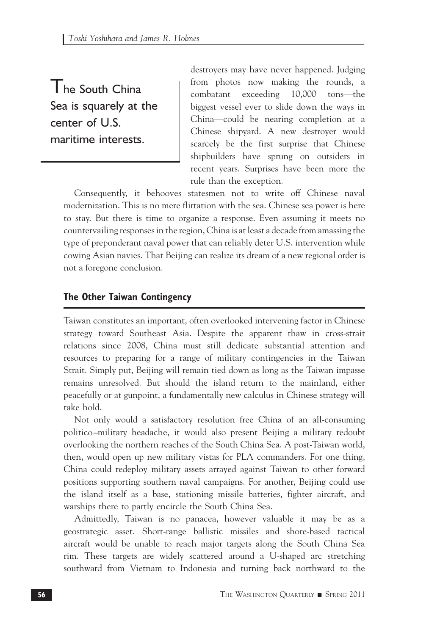The South China Sea is squarely at the center of U.S. maritime interests.

destroyers may have never happened. Judging from photos now making the rounds, a combatant exceeding 10,000 tons—the biggest vessel ever to slide down the ways in China-could be nearing completion at a Chinese shipyard. A new destroyer would scarcely be the first surprise that Chinese shipbuilders have sprung on outsiders in recent years. Surprises have been more the rule than the exception.

Consequently, it behooves statesmen not to write off Chinese naval modernization. This is no mere flirtation with the sea. Chinese sea power is here to stay. But there is time to organize a response. Even assuming it meets no countervailing responses in the region, China is at least a decade from amassing the type of preponderant naval power that can reliably deter U.S. intervention while cowing Asian navies. That Beijing can realize its dream of a new regional order is not a foregone conclusion.

### The Other Taiwan Contingency

Taiwan constitutes an important, often overlooked intervening factor in Chinese strategy toward Southeast Asia. Despite the apparent thaw in cross-strait relations since 2008, China must still dedicate substantial attention and resources to preparing for a range of military contingencies in the Taiwan Strait. Simply put, Beijing will remain tied down as long as the Taiwan impasse remains unresolved. But should the island return to the mainland, either peacefully or at gunpoint, a fundamentally new calculus in Chinese strategy will take hold.

Not only would a satisfactory resolution free China of an all-consuming politico—military headache, it would also present Beijing a military redoubt overlooking the northern reaches of the South China Sea. A post-Taiwan world, then, would open up new military vistas for PLA commanders. For one thing, China could redeploy military assets arrayed against Taiwan to other forward positions supporting southern naval campaigns. For another, Beijing could use the island itself as a base, stationing missile batteries, fighter aircraft, and warships there to partly encircle the South China Sea.

Admittedly, Taiwan is no panacea, however valuable it may be as a geostrategic asset. Short-range ballistic missiles and shore-based tactical aircraft would be unable to reach major targets along the South China Sea rim. These targets are widely scattered around a U-shaped arc stretching southward from Vietnam to Indonesia and turning back northward to the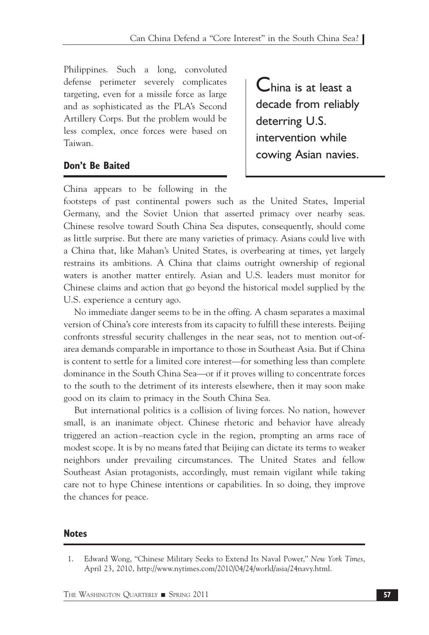Philippines. Such a long, convoluted defense perimeter severely complicates targeting, even for a missile force as large and as sophisticated as the PLA's Second Artillery Corps. But the problem would be less complex, once forces were based on Taiwan.

## Don't Be Baited

China is at least a decade from reliably deterring U.S. intervention while cowing Asian navies.

China appears to be following in the

footsteps of past continental powers such as the United States, Imperial Germany, and the Soviet Union that asserted primacy over nearby seas. Chinese resolve toward South China Sea disputes, consequently, should come as little surprise. But there are many varieties of primacy. Asians could live with a China that, like Mahan's United States, is overbearing at times, yet largely restrains its ambitions. A China that claims outright ownership of regional waters is another matter entirely. Asian and U.S. leaders must monitor for Chinese claims and action that go beyond the historical model supplied by the U.S. experience a century ago.

No immediate danger seems to be in the offing. A chasm separates a maximal version of China's core interests from its capacity to fulfill these interests. Beijing confronts stressful security challenges in the near seas, not to mention out-ofarea demands comparable in importance to those in Southeast Asia. But if China is content to settle for a limited core interest—for something less than complete dominance in the South China Sea—or if it proves willing to concentrate forces to the south to the detriment of its interests elsewhere, then it may soon make good on its claim to primacy in the South China Sea.

But international politics is a collision of living forces. No nation, however small, is an inanimate object. Chinese rhetoric and behavior have already triggered an action—reaction cycle in the region, prompting an arms race of modest scope. It is by no means fated that Beijing can dictate its terms to weaker neighbors under prevailing circumstances. The United States and fellow Southeast Asian protagonists, accordingly, must remain vigilant while taking care not to hype Chinese intentions or capabilities. In so doing, they improve the chances for peace.

#### **Notes**

<sup>1.</sup> Edward Wong, ''Chinese Military Seeks to Extend Its Naval Power,'' New York Times, April 23, 2010,<http://www.nytimes.com/2010/04/24/world/asia/24navy.html>.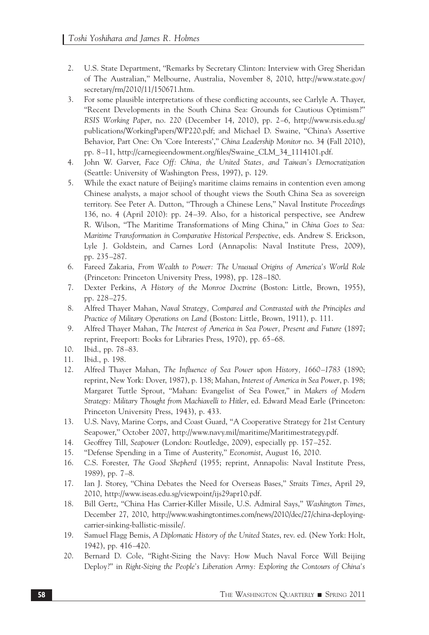- 2. U.S. State Department, ''Remarks by Secretary Clinton: Interview with Greg Sheridan of The Australian,'' Melbourne, Australia, November 8, 2010, [http://www.state.gov/](http://www.state.gov/secretary/rm/2010/11/150671.htm) [secretary/rm/2010/11/150671.htm](http://www.state.gov/secretary/rm/2010/11/150671.htm).
- 3. For some plausible interpretations of these conflicting accounts, see Carlyle A. Thayer, ''Recent Developments in the South China Sea: Grounds for Cautious Optimism?'' RSIS Working Paper, no. 220 (December 14, 2010), pp. 2—6, [http://www.rsis.edu.sg/](http://www.rsis.edu.sg/publications/WorkingPapers/WP220.pdf) [publications/WorkingPapers/WP220.pdf](http://www.rsis.edu.sg/publications/WorkingPapers/WP220.pdf); and Michael D. Swaine, ''China's Assertive Behavior, Part One: On 'Core Interests'," China Leadership Monitor no. 34 (Fall 2010), pp. 8—11, [http://carnegieendowment.org/files/Swaine\\_CLM\\_34\\_1114101.pdf](http://carnegieendowment.org/files/Swaine_CLM_34_1114101.pdf.).
- 4. John W. Garver, Face Off: China, the United States, and Taiwan's Democratization (Seattle: University of Washington Press, 1997), p. 129.
- 5. While the exact nature of Beijing's maritime claims remains in contention even among Chinese analysts, a major school of thought views the South China Sea as sovereign territory. See Peter A. Dutton, ''Through a Chinese Lens,'' Naval Institute Proceedings 136, no. 4 (April 2010): pp. 24—39. Also, for a historical perspective, see Andrew R. Wilson, "The Maritime Transformations of Ming China," in China Goes to Sea: Maritime Transformation in Comparative Historical Perspective, eds. Andrew S. Erickson, Lyle J. Goldstein, and Carnes Lord (Annapolis: Naval Institute Press, 2009), pp. 235—287.
- 6. Fareed Zakaria, From Wealth to Power: The Unusual Origins of America's World Role (Princeton: Princeton University Press, 1998), pp. 128—180.
- 7. Dexter Perkins, A History of the Monroe Doctrine (Boston: Little, Brown, 1955), pp. 228—275.
- 8. Alfred Thayer Mahan, Naval Strategy, Compared and Contrasted with the Principles and Practice of Military Operations on Land (Boston: Little, Brown, 1911), p. 111.
- 9. Alfred Thayer Mahan, The Interest of America in Sea Power, Present and Future (1897; reprint, Freeport: Books for Libraries Press, 1970), pp. 65—68.
- 10. Ibid., pp. 78—83.
- 11. Ibid., p. 198.
- 12. Alfred Thayer Mahan, The Influence of Sea Power upon History, 1660—1783 (1890; reprint, New York: Dover, 1987), p. 138; Mahan, Interest of America in Sea Power, p. 198; Margaret Tuttle Sprout, ''Mahan: Evangelist of Sea Power,'' in Makers of Modern Strategy: Military Thought from Machiavelli to Hitler, ed. Edward Mead Earle (Princeton: Princeton University Press, 1943), p. 433.
- 13. U.S. Navy, Marine Corps, and Coast Guard, ''A Cooperative Strategy for 21st Century Seapower,'' October 2007,<http://www.navy.mil/maritime/Maritimestrategy.pdf>.
- 14. Geoffrey Till, Seapower (London: Routledge, 2009), especially pp. 157—252.
- 15. ''Defense Spending in a Time of Austerity,'' Economist, August 16, 2010.
- 16. C.S. Forester, The Good Shepherd (1955; reprint, Annapolis: Naval Institute Press, 1989), pp. 7—8.
- 17. Ian J. Storey, ''China Debates the Need for Overseas Bases,'' Straits Times, April 29, 2010,<http://www.iseas.edu.sg/viewpoint/ijs29apr10.pdf>.
- 18. Bill Gertz, "China Has Carrier-Killer Missile, U.S. Admiral Says," Washington Times, December 27, 2010, [http://www.washingtontimes.com/news/2010/dec/27/china](http://www.washingtontimes.com/news/2010/dec/27/china-deploying-carrier-sinking-ballistic-missile/)[-](http://www.washingtontimes.com/news/2010/dec/27/china-deploying-carrier-sinking-ballistic-missile/)[deploying](http://www.washingtontimes.com/news/2010/dec/27/china-deploying-carrier-sinking-ballistic-missile/)[carrier](http://www.washingtontimes.com/news/2010/dec/27/china-deploying-carrier-sinking-ballistic-missile/)[-](http://www.washingtontimes.com/news/2010/dec/27/china-deploying-carrier-sinking-ballistic-missile/)[sinking](http://www.washingtontimes.com/news/2010/dec/27/china-deploying-carrier-sinking-ballistic-missile/)[-](http://www.washingtontimes.com/news/2010/dec/27/china-deploying-carrier-sinking-ballistic-missile/)[ballistic](http://www.washingtontimes.com/news/2010/dec/27/china-deploying-carrier-sinking-ballistic-missile/)[-](http://www.washingtontimes.com/news/2010/dec/27/china-deploying-carrier-sinking-ballistic-missile/)[missile/.](http://www.washingtontimes.com/news/2010/dec/27/china-deploying-carrier-sinking-ballistic-missile/)
- 19. Samuel Flagg Bemis, A Diplomatic History of the United States, rev. ed. (New York: Holt, 1942), pp. 416—420.
- 20. Bernard D. Cole, ''Right-Sizing the Navy: How Much Naval Force Will Beijing Deploy?'' in Right-Sizing the People's Liberation Army: Exploring the Contours of China's